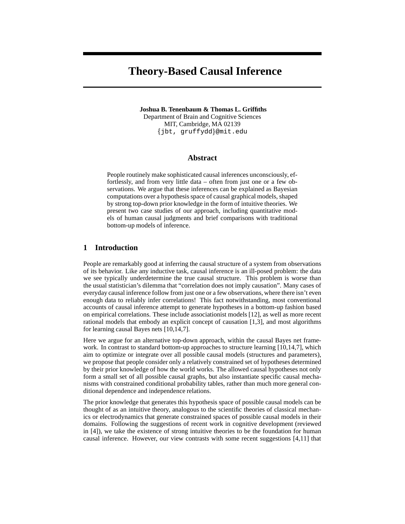# **Theory-Based Causal Inference**

**Joshua B. Tenenbaum & Thomas L. Griffiths** Department of Brain and Cognitive Sciences MIT, Cambridge, MA 02139 jbt, gruffydd @mit.edu

#### **Abstract**

People routinely make sophisticated causal inferences unconsciously, effortlessly, and from very little data – often from just one or a few observations. We argue that these inferences can be explained as Bayesian computations over a hypothesis space of causal graphical models, shaped by strong top-down prior knowledge in the form of intuitive theories. We present two case studies of our approach, including quantitative models of human causal judgments and brief comparisons with traditional bottom-up models of inference.

## **1 Introduction**

People are remarkably good at inferring the causal structure of a system from observations of its behavior. Like any inductive task, causal inference is an ill-posed problem: the data we see typically underdetermine the true causal structure. This problem is worse than the usual statistician's dilemma that "correlation does not imply causation". Many cases of everyday causal inference follow from just one or a few observations, where there isn't even enough data to reliably infer correlations! This fact notwithstanding, most conventional accounts of causal inference attempt to generate hypotheses in a bottom-up fashion based on empirical correlations. These include associationist models [12], as well as more recent rational models that embody an explicit concept of causation [1,3], and most algorithms for learning causal Bayes nets [10,14,7].

Here we argue for an alternative top-down approach, within the causal Bayes net framework. In contrast to standard bottom-up approaches to structure learning [10,14,7], which aim to optimize or integrate over all possible causal models (structures and parameters), we propose that people consider only a relatively constrained set of hypotheses determined by their prior knowledge of how the world works. The allowed causal hypotheses not only form a small set of all possible causal graphs, but also instantiate specific causal mechanisms with constrained conditional probability tables, rather than much more general conditional dependence and independence relations.

The prior knowledge that generates this hypothesis space of possible causal models can be thought of as an intuitive theory, analogous to the scientific theories of classical mechanics or electrodynamics that generate constrained spaces of possible causal models in their domains. Following the suggestions of recent work in cognitive development (reviewed in [4]), we take the existence of strong intuitive theories to be the foundation for human causal inference. However, our view contrasts with some recent suggestions [4,11] that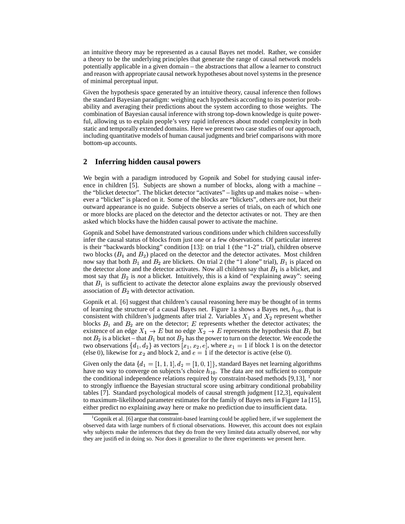an intuitive theory may be represented as a causal Bayes net model. Rather, we consider a theory to be the underlying principles that generate the range of causal network models potentially applicable in a given domain – the abstractions that allow a learner to construct and reason with appropriate causal network hypotheses about novel systems in the presence of minimal perceptual input.

Given the hypothesis space generated by an intuitive theory, causal inference then follows the standard Bayesian paradigm: weighing each hypothesis according to its posterior probability and averaging their predictions about the system according to those weights. The combination of Bayesian causal inference with strong top-down knowledge is quite powerful, allowing us to explain people's very rapid inferences about model complexity in both static and temporally extended domains. Here we present two case studies of our approach, including quantitative models of human causal judgments and brief comparisons with more bottom-up accounts.

## **2 Inferring hidden causal powers**

We begin with a paradigm introduced by Gopnik and Sobel for studying causal inference in children [5]. Subjects are shown a number of blocks, along with a machine – the "blicket detector". The blicket detector "activates" – lights up and makes noise – whenever a "blicket" is placed on it. Some of the blocks are "blickets", others are not, but their outward appearance is no guide. Subjects observe a series of trials, on each of which one or more blocks are placed on the detector and the detector activates or not. They are then asked which blocks have the hidden causal power to activate the machine.

Gopnik and Sobel have demonstrated various conditions under which children successfully infer the causal status of blocks from just one or a few observations. Of particular interest is their "backwards blocking" condition [13]: on trial 1 (the "1-2" trial), children observe two blocks ( $B_1$  and  $B_2$ ) placed on the detector and the detector activates. Most children now say that both  $B_1$  and  $B_2$  are blickets. On trial 2 (the "1 alone" trial),  $B_1$  is placed on the detector alone and the detector activates. Now all children say that  $B_1$  is a blicket, and most say that  $B_2$  is *not* a blicket. Intuitively, this is a kind of "explaining away": seeing that  $B_1$  is sufficient to activate the detector alone explains away the previously observed association of  $B_2$  with detector activation.

Gopnik et al. [6] suggest that children's causal reasoning here may be thought of in terms of learning the structure of a causal Bayes net. Figure 1a shows a Bayes net,  $h_{10}$ , that is consistent with children's judgments after trial 2. Variables  $X_1$  and  $X_2$  represent whether blocks  $B_1$  and  $B_2$  are on the detector; E represents whether the detector activates; the existence of an edge  $X_1 \to E$  but no edge  $X_2 \to E$  represents the hypothesis that  $B_1$  but not  $B_2$  is a blicket – that  $B_1$  but not  $B_2$  has the power to turn on the detector. We encode the two observations  $\{d_1, d_2\}$  as vectors  $[x_1, x_2, e]$ , where  $x_1 = 1$  if block 1 is on the detector (else 0), likewise for  $x_2$  and block 2, and  $e = 1$  if the detector is active (else 0).

Given only the data  $\{d_1 = [1, 1, 1], d_2 = [1, 0, 1]\}$ , standard Bayes net learning algorithms have no way to converge on subjects's choice  $h_{10}$ . The data are not sufficient to compute the conditional independence relations required by constraint-based methods [9,13],  $\frac{1}{1}$  nor to strongly influence the Bayesian structural score using arbitrary conditional probability tables [7]. Standard psychological models of causal strength judgment [12,3], equivalent to maximum-likelihood parameter estimates for the family of Bayes nets in Figure 1a [15], either predict no explaining away here or make no prediction due to insufficient data.

<sup>&</sup>lt;sup>1</sup>Gopnik et al. [6] argue that constraint-based learning could be applied here, if we supplement the observed data with large numbers of fictional observations. However, this account does not explain why subjects make the inferences that they do from the very limited data actually observed, nor why they are justified in doing so. Nor does it generalize to the three experiments we present here.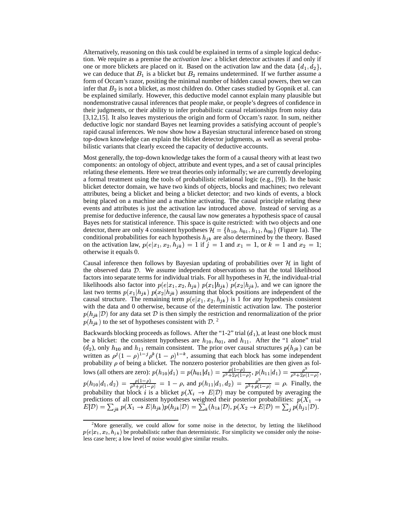Alternatively, reasoning on this task could be explained in terms of a simple logical deduction. We require as a premise the *activation law*: a blicket detector activates if and only if one or more blickets are placed on it. Based on the activation law and the data  $\{d_1, d_2\}$ , we can deduce that  $B_1$  is a blicket but  $B_2$  remains undetermined. If we further assume a form of Occam's razor, positing the minimal number of hidden causal powers, then we can infer that  $B_2$  is not a blicket, as most children do. Other cases studied by Gopnik et al. can be explained similarly. However, this deductive model cannot explain many plausible but nondemonstrative causal inferences that people make, or people's degrees of confidence in their judgments, or their ability to infer probabilistic causal relationships from noisy data [3,12,15]. It also leaves mysterious the origin and form of Occam's razor. In sum, neither deductive logic nor standard Bayes net learning provides a satisfying account of people's rapid causal inferences. We now show how a Bayesian structural inference based on strong top-down knowledge can explain the blicket detector judgments, as well as several probabilistic variants that clearly exceed the capacity of deductive accounts.

Most generally, the top-down knowledge takes the form of a causal theory with at least two components: an ontology of object, attribute and event types, and a set of causal principles relating these elements. Here we treat theories only informally; we are currently developing a formal treatment using the tools of probabilistic relational logic (e.g., [9]). In the basic blicket detector domain, we have two kinds of objects, blocks and machines; two relevant attributes, being a blicket and being a blicket detector; and two kinds of events, a block being placed on a machine and a machine activating. The causal principle relating these events and attributes is just the activation law introduced above. Instead of serving as a premise for deductive inference, the causal law now generates a hypothesis space of causal Bayes nets for statistical inference. This space is quite restricted: with two objects and one detector, there are only 4 consistent hypotheses  $\mathcal{H} = \{h_{10}, h_{01}, h_{11}, h_{00}\}$  (Figure 1a). The conditional probabilities for each hypothesis  $h_{ik}$  are also determined by the theory. Based on the activation law,  $p(e|x_1, x_2, h_{jk}) = 1$  if  $j = 1$  and  $x_1 = 1$ , or  $k = 1$  and  $x_2 = 1$ ; otherwise it equals 0.

Causal inference then follows by Bayesian updating of probabilities over  $\mathcal H$  in light of the observed data  $D$ . We assume independent observations so that the total likelihood factors into separate terms for individual trials. For all hypotheses in  $H$ , the individual-trial likelihoods also factor into  $p(e|x_1, x_2, h_{jk}) p(x_1|h_{jk}) p(x_2|h_{jk})$ , and we can ignore the last two terms  $p(x_1|h_{jk})$   $p(x_2|h_{jk})$  assuming that block positions are independent of the causal structure. The remaining term  $p(e|x_1, x_2, h_{ik})$  is 1 for any hypothesis consistent with the data and 0 otherwise, because of the deterministic activation law. The posterior  $p(h_{jk}|\mathcal{D})$  for any data set  $\mathcal D$  is then simply the restriction and renormalization of the prior  $p(h_{ik})$  to the set of hypotheses consistent with  $\mathcal{D}$ .

Backwards blocking proceeds as follows. After the "1-2" trial  $(d_1)$ , at least one block must be a blicket: the consistent hypotheses are  $h_{10}$ ,  $h_{01}$ , and  $h_{11}$ . After the "1 alone" trial  $(d_2)$ , only  $h_{10}$  and  $h_{11}$  remain consistent. The prior over causal structures  $p(h_{jk})$  can be written as  $\rho^{j} (1 - \rho)^{1-j} \rho^{k} (1 - \rho)^{1-k}$ , assuming that each block has some independent probability  $\rho$  of being a blicket. The nonzero posterior probabilities are then given as follows (all others are zero):  $p(h_{10}|d_1) = p(h_{01}|d_1) = \frac{\rho(1-\rho)}{\rho^2+2\rho(1-\rho)}, p(h_{11}|d_1) = \frac{\rho^2}{\rho^2+2\rho(1-\rho)},$  $p(h_{10}|d_1, d_2) = \frac{\rho(1-\rho)}{\rho^2 + \rho(1-\rho)} = 1 - \rho$ , and  $p(h_{11}|d_1, d_2) = \frac{\rho}{\rho^2 + \rho(1-\rho)} = \rho$ . Finally, the probability that block *i* is a blicket  $p(X_i \to E | \mathcal{D})$  may be computed by averaging the predictions of all consistent hypotheses weighted their posterior probabilities:  $p(X_1 \rightarrow$  $E(\mathcal{D}) = \sum_{i} p(X_i \rightarrow E | h_{ik}) p(h_{ik} | \mathcal{D}) = \sum_{k} (h_{1k} | \mathcal{D}), p(X_2 \rightarrow E | \mathcal{D}) = \sum_{i} p(h_{i1} | \mathcal{D}).$ 

<sup>&</sup>lt;sup>2</sup>More generally, we could allow for some noise in the detector, by letting the likelihood  $p(e|x_1, x_2, h_{jk})$  be probabilistic rather than deterministic. For simplicity we consider only the noiseless case here; a low level of noise would give similar results.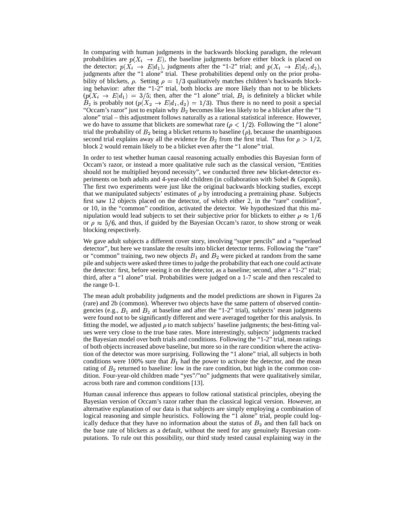In comparing with human judgments in the backwards blocking paradigm, the relevant probabilities are  $p(X_i \rightarrow E)$ , the baseline judgments before either block is placed on the detector;  $p(X_i \rightarrow E|d_1)$ , judgments after the "1-2" trial; and  $p(X_i \rightarrow E|d_1, d_2)$ , judgments after the "1 alone" trial. These probabilities depend only on the prior probability of blickets,  $\rho$ . Setting  $\rho = 1/3$  qualitatively matches children's backwards blocking behavior: after the "1-2" trial, both blocks are more likely than not to be blickets  $(p(X_i \rightarrow E|d_1) = 3/5$ ; then, after the "1 alone" trial,  $B_1$  is definitely a blicket while  $B_2$  is probably not  $(p(X_2 \rightarrow E|d_1, d_2) = 1/3)$ . Thus there is no need to posit a special "Occam's razor" just to explain why  $B_2$  becomes like less likely to be a blicket after the "1" alone" trial – this adjustment follows naturally as a rational statistical inference. However, we do have to assume that blickets are somewhat rare ( $\rho < 1/2$ ). Following the "1 alone" trial the probability of  $B_2$  being a blicket returns to baseline ( $\rho$ ), because the unambiguous second trial explains away all the evidence for  $B_2$  from the first trial. Thus for  $\rho > 1/2$ , block 2 would remain likely to be a blicket even after the "1 alone" trial.

In order to test whether human causal reasoning actually embodies this Bayesian form of Occam's razor, or instead a more qualitative rule such as the classical version, "Entities should not be multiplied beyond necessity", we conducted three new blicket-detector experiments on both adults and 4-year-old children (in collaboration with Sobel & Gopnik). The first two experiments were just like the original backwards blocking studies, except that we manipulated subjects' estimates of  $\rho$  by introducing a pretraining phase. Subjects first saw 12 objects placed on the detector, of which either 2, in the "rare" condition", or 10, in the "common" condition, activated the detector. We hypothesized that this manipulation would lead subjects to set their subjective prior for blickets to either  $\rho \approx 1/6$ or  $\rho \approx 5/6$ , and thus, if guided by the Bayesian Occam's razor, to show strong or weak blocking respectively.

We gave adult subjects a different cover story, involving "super pencils" and a "superlead detector", but here we translate the results into blicket detector terms. Following the "rare" or "common" training, two new objects  $B_1$  and  $B_2$  were picked at random from the same pile and subjects were asked three times to judge the probability that each one could activate the detector: first, before seeing it on the detector, as a baseline; second, after a "1-2" trial; third, after a "1 alone" trial. Probabilities were judged on a 1-7 scale and then rescaled to the range 0-1.

The mean adult probability judgments and the model predictions are shown in Figures 2a (rare) and 2b (common). Wherever two objects have the same pattern of observed contingencies (e.g.,  $B_1$  and  $B_2$  at baseline and after the "1-2" trial), subjects' mean judgments were found not to be significantly different and were averaged together for this analysis. In fitting the model, we adjusted  $\rho$  to match subjects' baseline judgments; the best-fitting values were very close to the true base rates. More interestingly, subjects' judgments tracked the Bayesian model over both trials and conditions. Following the "1-2" trial, mean ratings of both objects increased above baseline, but more so in the rare condition where the activation of the detector was more surprising. Following the "1 alone" trial, all subjects in both conditions were 100% sure that  $B_1$  had the power to activate the detector, and the mean rating of  $B_2$  returned to baseline: low in the rare condition, but high in the common condition. Four-year-old children made "yes"/"no" judgments that were qualitatively similar, across both rare and common conditions [13].

Human causal inference thus appears to follow rational statistical principles, obeying the Bayesian version of Occam's razor rather than the classical logical version. However, an alternative explanation of our data is that subjects are simply employing a combination of logical reasoning and simple heuristics. Following the "1 alone" trial, people could logically deduce that they have no information about the status of  $B<sub>2</sub>$  and then fall back on the base rate of blickets as a default, without the need for any genuinely Bayesian computations. To rule out this possibility, our third study tested causal explaining way in the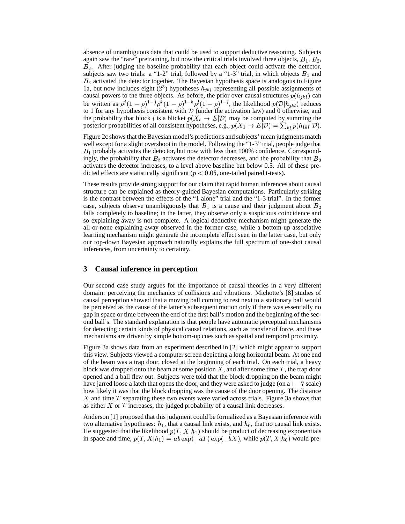absence of unambiguous data that could be used to support deductive reasoning. Subjects again saw the "rare" pretraining, but now the critical trials involved three objects,  $B_1$ ,  $B_2$ ,  $B_3$ . After judging the baseline probability that each object could activate the detector, subjects saw two trials: a "1-2" trial, followed by a "1-3" trial, in which objects  $B_1$  and  $B_3$  activated the detector together. The Bayesian hypothesis space is analogous to Figure 1a, but now includes eight  $(2^3)$  hypotheses  $h_{ikl}$  representing all possible assignments of causal powers to the three objects. As before, the prior over causal structures  $p(h_{ikl})$  can be written as  $\rho^{j}(1-\rho)^{1-j}\rho^{k}(1-\rho)^{1-k}\rho^{l}(1-\rho)^{1-l}$ , the likelihood  $p(\mathcal{D}|h_{ik})$  reduces to 1 for any hypothesis consistent with  $D$  (under the activation law) and 0 otherwise, and the probability that block i is a blicket  $p(X_i \to E|\mathcal{D})$  may be computed by summing the posterior probabilities of all consistent hypotheses, e.g.,  $p(X_1 \to E|\mathcal{D}) = \sum_{kl} p(h_{1kl}|\mathcal{D})$ .

Figure 2c shows that the Bayesian model's predictions and subjects' mean judgments match well except for a slight overshoot in the model. Following the "1-3" trial, people judge that  $B_1$  probably activates the detector, but now with less than 100% confidence. Correspondingly, the probability that  $B_2$  activates the detector decreases, and the probability that  $B_3$ activates the detector increases, to a level above baseline but below 0.5. All of these predicted effects are statistically significant ( $p < 0.05$ , one-tailed paired t-tests).

These results provide strong support for our claim that rapid human inferences about causal structure can be explained as theory-guided Bayesian computations. Particularly striking is the contrast between the effects of the "1 alone" trial and the "1-3 trial". In the former case, subjects observe unambiguously that  $B_1$  is a cause and their judgment about  $B_2$ falls completely to baseline; in the latter, they observe only a suspicious coincidence and so explaining away is not complete. A logical deductive mechanism might generate the all-or-none explaining-away observed in the former case, while a bottom-up associative learning mechanism might generate the incomplete effect seen in the latter case, but only our top-down Bayesian approach naturally explains the full spectrum of one-shot causal inferences, from uncertainty to certainty.

## **3 Causal inference in perception**

Our second case study argues for the importance of causal theories in a very different domain: perceiving the mechanics of collisions and vibrations. Michotte's [8] studies of causal perception showed that a moving ball coming to rest next to a stationary ball would be perceived as the cause of the latter's subsequent motion only if there was essentially no gap in space or time between the end of the first ball's motion and the beginning of the second ball's. The standard explanation is that people have automatic perceptual mechanisms for detecting certain kinds of physical causal relations, such as transfer of force, and these mechanisms are driven by simple bottom-up cues such as spatial and temporal proximity.

Figure 3a shows data from an experiment described in [2] which might appear to support this view. Subjects viewed a computer screen depicting a long horizontal beam. At one end of the beam was a trap door, closed at the beginning of each trial. On each trial, a heavy block was dropped onto the beam at some position  $X$ , and after some time  $T$ , the trap door opened and a ball flew out. Subjects were told that the block dropping on the beam might have jarred loose a latch that opens the door, and they were asked to judge (on a  $1-7$  scale) how likely it was that the block dropping was the cause of the door opening. The distance  $X$  and time  $T$  separating these two events were varied across trials. Figure 3a shows that as either  $X$  or  $T$  increases, the judged probability of a causal link decreases.

Anderson [1] proposed that this judgment could be formalized as a Bayesian inference with two alternative hypotheses:  $h_1$ , that a causal link exists, and  $h_0$ , that no causal link exists. He suggested that the likelihood  $p(T, X | h_1)$  should be product of decreasing exponentials in space and time,  $p(T, X|h_1) = ab \exp(-aT) \exp(-bX)$ , while  $p(T, X|h_0)$  would pre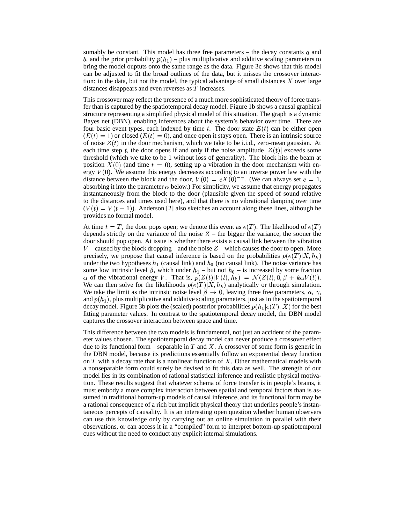sumably be constant. This model has three free parameters  $-$  the decay constants  $a$  and b, and the prior probability  $p(h_1)$  – plus multiplicative and additive scaling parameters to bring the model ouptuts onto the same range as the data. Figure 3c shows that this model can be adjusted to fit the broad outlines of the data, but it misses the crossover interaction: in the data, but not the model, the typical advantage of small distances  $X$  over large distances disappears and even reverses as  $T$  increases.

This crossover may reflect the presence of a much more sophisticated theory of force transfer than is captured by the spatiotemporal decay model. Figure 1b shows a causal graphical structure representing a simplified physical model of this situation. The graph is a dynamic Bayes net (DBN), enabling inferences about the system's behavior over time. There are four basic event types, each indexed by time t. The door state  $E(t)$  can be either open  $(E(t) = 1)$  or closed  $(E(t) = 0)$ , and once open it stays open. There is an intrinsic source of noise  $Z(t)$  in the door mechanism, which we take to be i.i.d., zero-mean gaussian. At each time step t, the door opens if and only if the noise amplitude  $|Z(t)|$  exceeds some threshold (which we take to be 1 without loss of generality). The block hits the beam at position  $X(0)$  (and time  $t = 0$ ), setting up a vibration in the door mechanism with energy  $V(0)$ . We assume this energy decreases according to an inverse power law with the distance between the block and the door,  $V(0) = cX(0)^{-\gamma}$ . (We can always set  $c = 1$ , absorbing it into the parameter  $\alpha$  below.) For simplicity, we assume that energy propagates instantaneously from the block to the door (plausible given the speed of sound relative to the distances and times used here), and that there is no vibrational damping over time  $(V(t) = V(t-1))$ . Anderson [2] also sketches an account along these lines, although he provides no formal model.

At time  $t = T$ , the door pops open; we denote this event as  $e(T)$ . The likelihood of  $e(T)$ depends strictly on the variance of the noise  $Z$  – the bigger the variance, the sooner the door should pop open. At issue is whether there exists a causal link between the vibration  $V$  – caused by the block dropping – and the noise  $Z$  – which causes the door to open. More precisely, we propose that causal inference is based on the probabilities  $p(e(T)|X, h_k)$ under the two hypotheses  $h_1$  (causal link) and  $h_0$  (no causal link). The noise variance has some low intrinsic level  $\beta$ , which under  $h_1$  – but not  $h_0$  – is increased by some fraction  $\alpha$  of the vibrational energy V. That is,  $p(Z(t)|V(t),h_k) = \mathcal{N}(Z(t);0,\beta + k\alpha V(t)).$ We can then solve for the likelihoods  $p(e(T)|X, h_k)$  analytically or through simulation. We take the limit as the intrinsic noise level  $\beta \to 0$ , leaving three free parameters,  $\alpha$ ,  $\gamma$ , and  $p(h_1)$ , plus multiplicative and additive scaling parameters, just as in the spatiotemporal decay model. Figure 3b plots the (scaled) posterior probabilities  $p(h_1 | e(T), X)$  for the best fitting parameter values. In contrast to the spatiotemporal decay model, the DBN model captures the crossover interaction between space and time.

This difference between the two models is fundamental, not just an accident of the parameter values chosen. The spatiotemporal decay model can never produce a crossover effect due to its functional form – separable in T and X. A crossover of some form is generic in the DBN model, because its predictions essentially follow an exponential decay function on  $T$  with a decay rate that is a nonlinear function of  $X$ . Other mathematical models with a nonseparable form could surely be devised to fit this data as well. The strength of our model lies in its combination of rational statistical inference and realistic physical motivation. These results suggest that whatever schema of force transfer is in people's brains, it must embody a more complex interaction between spatial and temporal factors than is assumed in traditional bottom-up models of causal inference, and its functional form may be a rational consequence of a rich but implicit physical theory that underlies people's instantaneous percepts of causality. It is an interesting open question whether human observers can use this knowledge only by carrying out an online simulation in parallel with their observations, or can access it in a "compiled" form to interpret bottom-up spatiotemporal cues without the need to conduct any explicit internal simulations.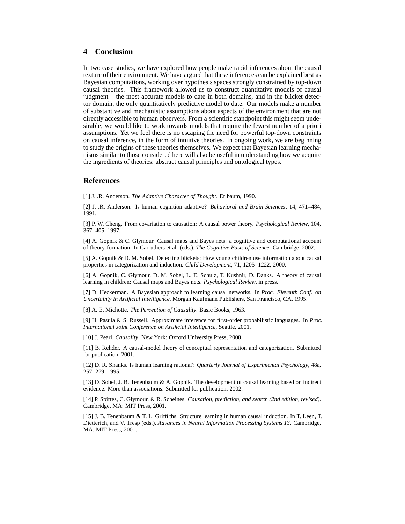# **4 Conclusion**

In two case studies, we have explored how people make rapid inferences about the causal texture of their environment. We have argued that these inferences can be explained best as Bayesian computations, working over hypothesis spaces strongly constrained by top-down causal theories. This framework allowed us to construct quantitative models of causal judgment – the most accurate models to date in both domains, and in the blicket detector domain, the only quantitatively predictive model to date. Our models make a number of substantive and mechanistic assumptions about aspects of the environment that are not directly accessible to human observers. From a scientific standpoint this might seem undesirable; we would like to work towards models that require the fewest number of a priori assumptions. Yet we feel there is no escaping the need for powerful top-down constraints on causal inference, in the form of intuitive theories. In ongoing work, we are beginning to study the origins of these theories themselves. We expect that Bayesian learning mechanisms similar to those considered here will also be useful in understanding how we acquire the ingredients of theories: abstract causal principles and ontological types.

#### **References**

[1] J. .R. Anderson. *The Adaptive Character of Thought*. Erlbaum, 1990.

[2] J. .R. Anderson. Is human cognition adaptive? *Behavioral and Brain Sciences*, 14, 471–484, 1991.

[3] P. W. Cheng. From covariation to causation: A causal power theory. *Psychological Review*, 104, 367–405, 1997.

[4] A. Gopnik & C. Glymour. Causal maps and Bayes nets: a cognitive and computational account of theory-formation. In Carruthers et al. (eds.), *The Cognitive Basis of Science*. Cambridge, 2002.

[5] A. Gopnik & D. M. Sobel. Detecting blickets: How young children use information about causal properties in categorization and induction. *Child Development*, 71, 1205–1222, 2000.

[6] A. Gopnik, C. Glymour, D. M. Sobel, L. E. Schulz, T. Kushnir, D. Danks. A theory of causal learning in children: Causal maps and Bayes nets. *Psychological Review*, in press.

[7] D. Heckerman. A Bayesian approach to learning causal networks. In *Proc. Eleventh Conf. on Uncertainty in Artificial Intelligence*, Morgan Kaufmann Publishers, San Francisco, CA, 1995.

[8] A. E. Michotte. *The Perception of Causality*. Basic Books, 1963.

[9] H. Pasula & S. Russell. Approximate inference for first-order probabilistic languages. In *Proc. International Joint Conference on Artificial Intelligence*, Seattle, 2001.

[10] J. Pearl. *Causality*. New York: Oxford University Press, 2000.

[11] B. Rehder. A causal-model theory of conceptual representation and categorization. Submitted for publication, 2001.

[12] D. R. Shanks. Is human learning rational? *Quarterly Journal of Experimental Psychology*, 48a, 257–279, 1995.

[13] D. Sobel, J. B. Tenenbaum & A. Gopnik. The development of causal learning based on indirect evidence: More than associations. Submitted for publication, 2002.

[14] P. Spirtes, C. Glymour, & R. Scheines. *Causation, prediction, and search (2nd edition, revised)*. Cambridge, MA: MIT Press, 2001.

[15] J. B. Tenenbaum & T. L. Griffiths. Structure learning in human causal induction. In T. Leen, T. Dietterich, and V. Tresp (eds.), *Advances in Neural Information Processing Systems 13*. Cambridge, MA: MIT Press, 2001.